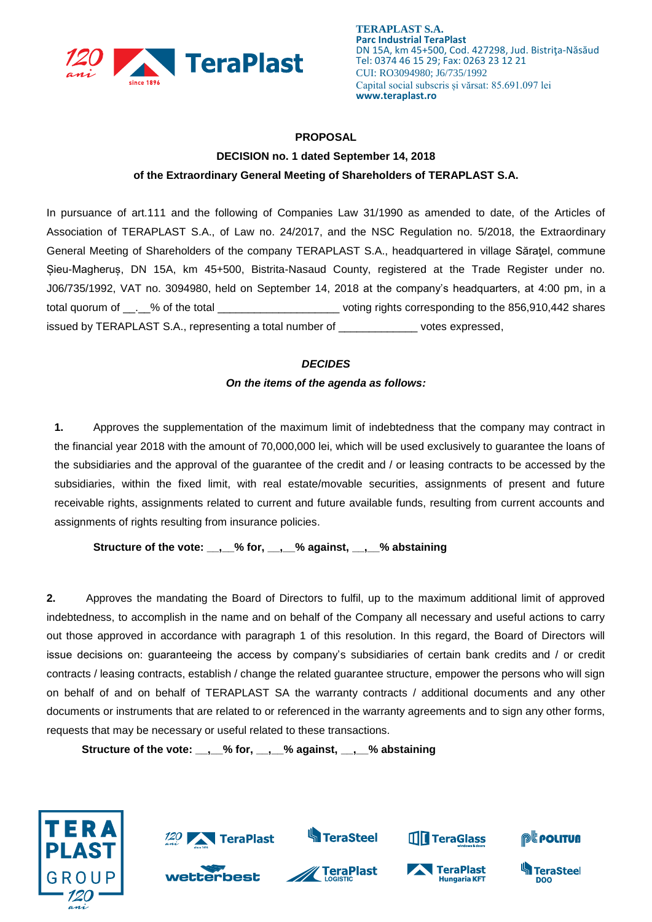

## **PROPOSAL**

## **DECISION no. 1 dated September 14, 2018 of the Extraordinary General Meeting of Shareholders of TERAPLAST S.A.**

In pursuance of art.111 and the following of Companies Law 31/1990 as amended to date, of the Articles of Association of TERAPLAST S.A., of Law no. 24/2017, and the NSC Regulation no. 5/2018, the Extraordinary General Meeting of Shareholders of the company TERAPLAST S.A., headquartered in village Săraţel, commune Șieu-Magheruș, DN 15A, km 45+500, Bistrita-Nasaud County, registered at the Trade Register under no. J06/735/1992, VAT no. 3094980, held on September 14, 2018 at the company's headquarters, at 4:00 pm, in a total quorum of  $\qquad \qquad$  % of the total  $\qquad \qquad$  voting rights corresponding to the 856,910,442 shares issued by TERAPLAST S.A., representing a total number of \_\_\_\_\_\_\_\_\_\_\_\_\_ votes expressed,

## *DECIDES On the items of the agenda as follows:*

**1.** Approves the supplementation of the maximum limit of indebtedness that the company may contract in the financial year 2018 with the amount of 70,000,000 lei, which will be used exclusively to guarantee the loans of the subsidiaries and the approval of the guarantee of the credit and / or leasing contracts to be accessed by the subsidiaries, within the fixed limit, with real estate/movable securities, assignments of present and future receivable rights, assignments related to current and future available funds, resulting from current accounts and assignments of rights resulting from insurance policies.

**Structure of the vote: \_\_,\_\_% for, \_\_,\_\_% against, \_\_,\_\_% abstaining**

**2.** Approves the mandating the Board of Directors to fulfil, up to the maximum additional limit of approved indebtedness, to accomplish in the name and on behalf of the Company all necessary and useful actions to carry out those approved in accordance with paragraph 1 of this resolution. In this regard, the Board of Directors will issue decisions on: guaranteeing the access by company's subsidiaries of certain bank credits and / or credit contracts / leasing contracts, establish / change the related guarantee structure, empower the persons who will sign on behalf of and on behalf of TERAPLAST SA the warranty contracts / additional documents and any other documents or instruments that are related to or referenced in the warranty agreements and to sign any other forms, requests that may be necessary or useful related to these transactions.

**Structure of the vote: \_\_,\_\_% for, \_\_,\_\_% against, \_\_,\_\_% abstaining**